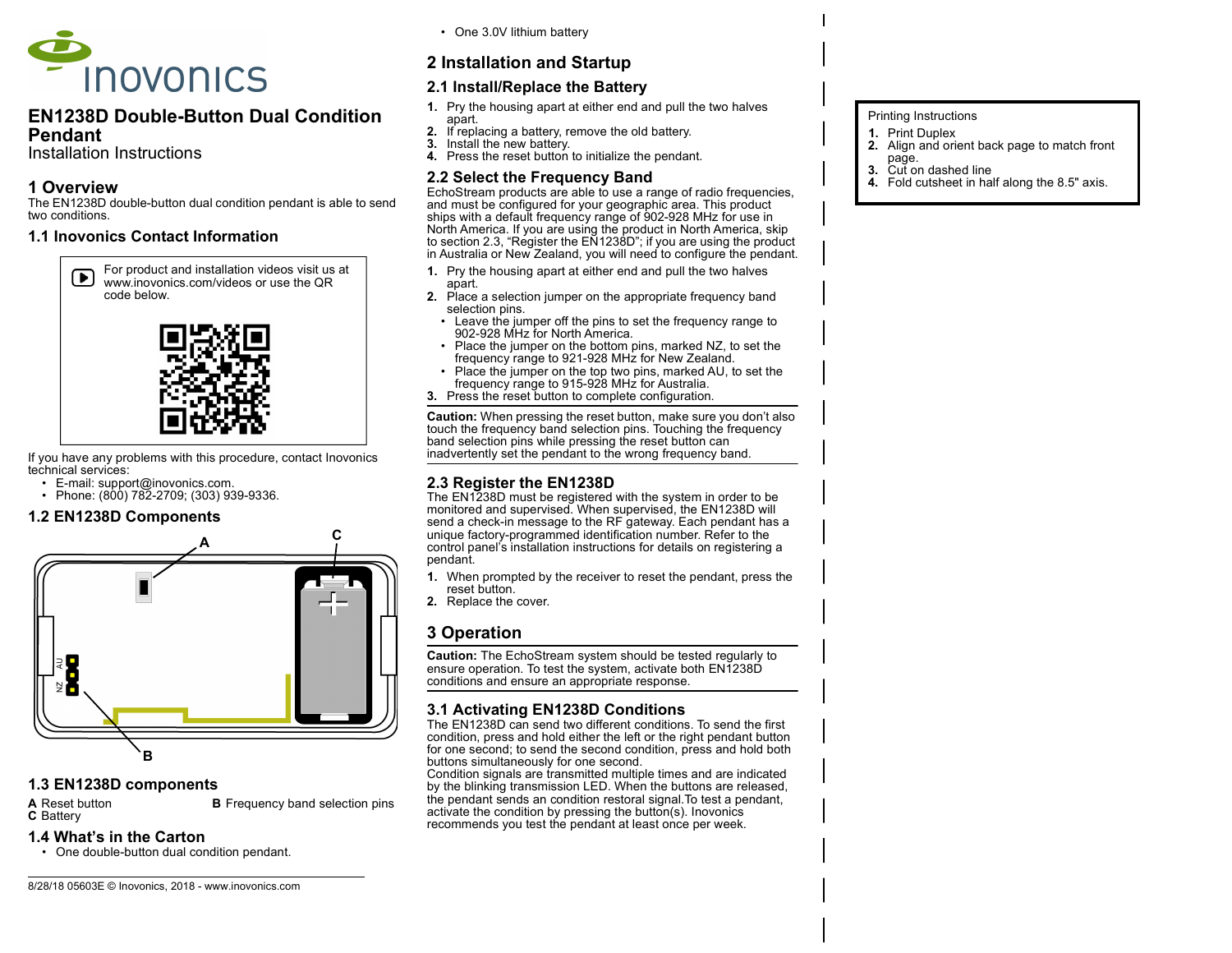

### EN1238D Double-Button Dual Condition Pendant

Installation Instructions

## 1 Overview

The EN1238D double-button dual condition pendant is able to send two conditions.

### 1.1 Inovonics Contact Information

For product and installation videos visit us at  $\left( \bullet \right)$ www.inovonics.com/videos or use the QR code below.



If you have any problems with this procedure, contact Inovonics technical services:

- E-mail: support@inovonics.com.
- Phone:  $(800)$  782-2709;  $(303)$  939-9336.

### 1.2 EN1238D Components



### 1.3 EN1238D components

A Reset button **B** Frequency band selection pins C Battery

#### 1.4 What's in the Carton

• One double-button dual condition pendant.

• One 3.0V lithium battery

# 2 Installation and Startup

# 2.1 Install/Replace the Battery

- 1. Pry the housing apart at either end and pull the two halves
- apart. 2. If replacing a battery, remove the old battery.
- 3. Install the new battery.
- 4. Press the reset button to initialize the pendant.

# 2.2 Select the Frequency Band

EchoStream products are able to use a range of radio frequencies, and must be configured for your geographic area. This product ships with a default frequency range of 902-928 MHz for use in North America. If you are using the product in North America, skip to section 2.3, "Register the EN1238D"; if you are using the product in Australia or New Zealand, you will need to configure the pendant.

- 1. Pry the housing apart at either end and pull the two halves apart.
- 2. Place a selection jumper on the appropriate frequency band selection pins.
	- Leave the jumper off the pins to set the frequency range to 902-928 MHz for North America.
	- Place the jumper on the bottom pins, marked NZ, to set the frequency range to 921-928 MHz for New Zealand.
- Place the jumper on the top two pins, marked AU, to set the frequency range to 915-928 MHz for Australia.
- 3. Press the reset button to complete configuration.

Caution: When pressing the reset button, make sure you don't also touch the frequency band selection pins. Touching the frequency band selection pins while pressing the reset button can inadvertently set the pendant to the wrong frequency band.

# 2.3 Register the EN1238D

The EN1238D must be registered with the system in order to be monitored and supervised. When supervised, the EN1238D will send a check-in message to the RF gateway. Each pendant has a unique factory-programmed identification number. Refer to the control panel's installation instructions for details on registering a pendant.

- 1. When prompted by the receiver to reset the pendant, press the reset button.
- 2. Replace the cover.

# 3 Operation

Caution: The EchoStream system should be tested regularly to ensure operation. To test the system, activate both EN1238D conditions and ensure an appropriate response.

# 3.1 Activating EN1238D Conditions

The EN1238D can send two different conditions. To send the first condition, press and hold either the left or the right pendant button for one second; to send the second condition, press and hold both buttons simultaneously for one second.

Condition signals are transmitted multiple times and are indicated by the blinking transmission LED. When the buttons are released, the pendant sends an condition restoral signal.To test a pendant, activate the condition by pressing the button(s). Inovonics recommends you test the pendant at least once per week.

### Printing Instructions

- 1. Print Duplex
- 2. Align and orient back page to match front
- page.
- 3. Cut on dashed line 4. Fold cutsheet in half along the 8.5" axis.

8/28/18 05603E © Inovonics, 2018 - www.inovonics.com